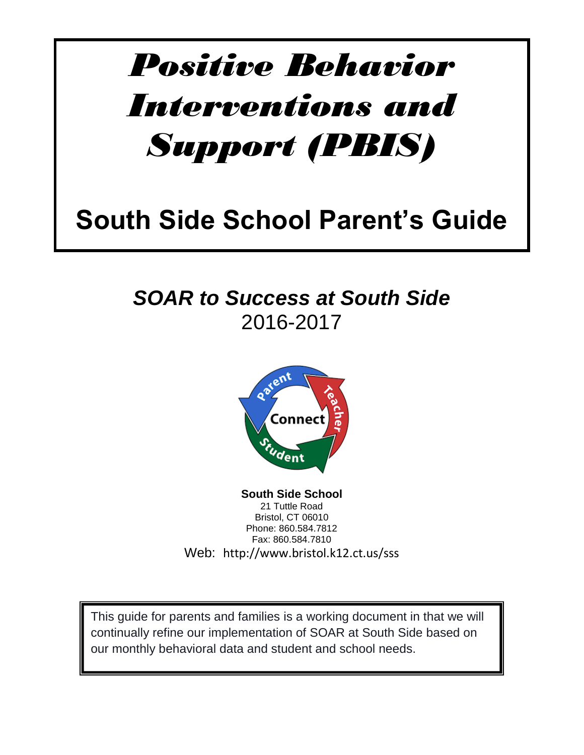# *Positive Behavior Interventions and Support (PBIS)*

## **South Side School Parent's Guide**

### *SOAR to Success at South Side*  2016-2017



**South Side School** 21 Tuttle Road Bristol, CT 06010 Phone: 860.584.7812 Fax: 860.584.7810 Web: http://www.bristol.k12.ct.us/sss

This guide for parents and families is a working document in that we will continually refine our implementation of SOAR at South Side based on our monthly behavioral data and student and school needs.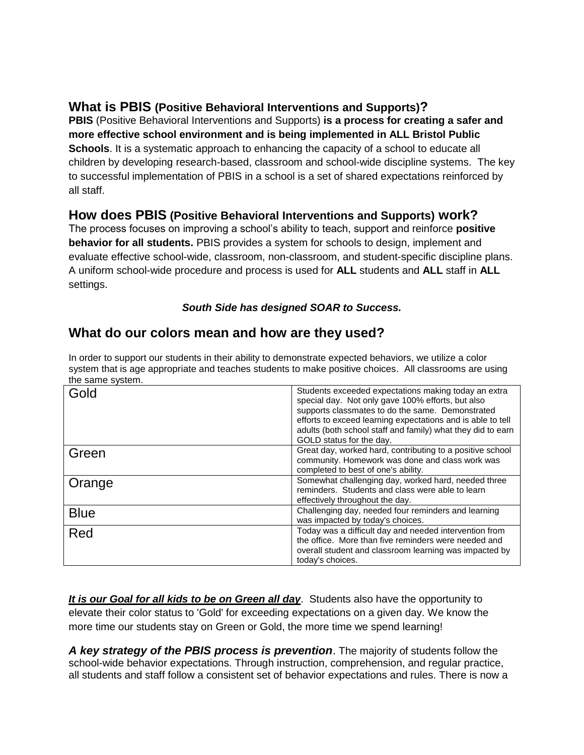#### **What is PBIS (Positive Behavioral Interventions and Supports)?**

**PBIS** (Positive Behavioral Interventions and Supports) **is a process for creating a safer and more effective school environment and is being implemented in ALL Bristol Public Schools**. It is a systematic approach to enhancing the capacity of a school to educate all children by developing research-based, classroom and school-wide discipline systems. The key to successful implementation of PBIS in a school is a set of shared expectations reinforced by all staff.

#### **How does PBIS (Positive Behavioral Interventions and Supports) work?**

The process focuses on improving a school's ability to teach, support and reinforce **positive behavior for all students.** PBIS provides a system for schools to design, implement and evaluate effective school-wide, classroom, non-classroom, and student-specific discipline plans. A uniform school-wide procedure and process is used for **ALL** students and **ALL** staff in **ALL** settings.

#### *South Side has designed SOAR to Success.*

#### **What do our colors mean and how are they used?**

In order to support our students in their ability to demonstrate expected behaviors, we utilize a color system that is age appropriate and teaches students to make positive choices. All classrooms are using the same system.

| Gold        | Students exceeded expectations making today an extra<br>special day. Not only gave 100% efforts, but also<br>supports classmates to do the same. Demonstrated<br>efforts to exceed learning expectations and is able to tell<br>adults (both school staff and family) what they did to earn<br>GOLD status for the day. |
|-------------|-------------------------------------------------------------------------------------------------------------------------------------------------------------------------------------------------------------------------------------------------------------------------------------------------------------------------|
| Green       | Great day, worked hard, contributing to a positive school<br>community. Homework was done and class work was<br>completed to best of one's ability.                                                                                                                                                                     |
| Orange      | Somewhat challenging day, worked hard, needed three<br>reminders. Students and class were able to learn<br>effectively throughout the day.                                                                                                                                                                              |
| <b>Blue</b> | Challenging day, needed four reminders and learning<br>was impacted by today's choices.                                                                                                                                                                                                                                 |
| Red         | Today was a difficult day and needed intervention from<br>the office. More than five reminders were needed and<br>overall student and classroom learning was impacted by<br>today's choices.                                                                                                                            |

*It is our Goal for all kids to be on Green all day*. Students also have the opportunity to elevate their color status to 'Gold' for exceeding expectations on a given day. We know the more time our students stay on Green or Gold, the more time we spend learning!

*A key strategy of the PBIS process is prevention*. The majority of students follow the school-wide behavior expectations. Through instruction, comprehension, and regular practice, all students and staff follow a consistent set of behavior expectations and rules. There is now a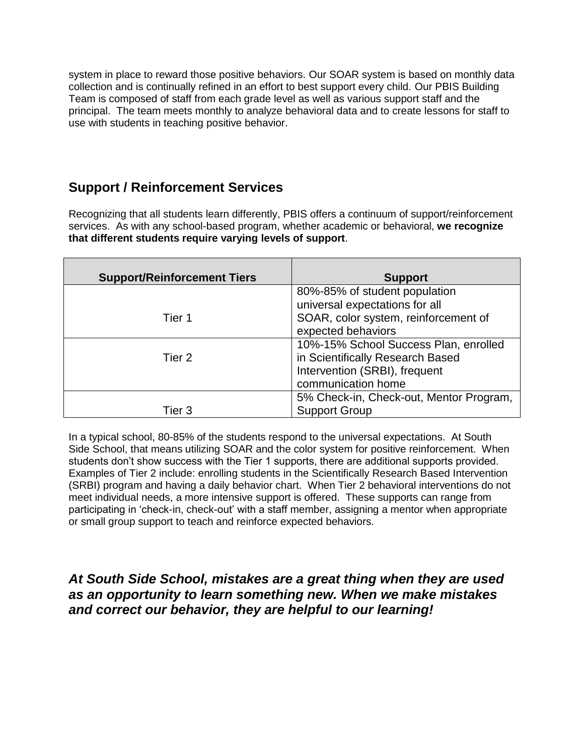system in place to reward those positive behaviors. Our SOAR system is based on monthly data collection and is continually refined in an effort to best support every child. Our PBIS Building Team is composed of staff from each grade level as well as various support staff and the principal. The team meets monthly to analyze behavioral data and to create lessons for staff to use with students in teaching positive behavior.

#### **Support / Reinforcement Services**

Recognizing that all students learn differently, PBIS offers a continuum of support/reinforcement services. As with any school-based program, whether academic or behavioral, **we recognize that different students require varying levels of support**.

| <b>Support/Reinforcement Tiers</b> | <b>Support</b>                                                                                                                   |
|------------------------------------|----------------------------------------------------------------------------------------------------------------------------------|
|                                    | 80%-85% of student population<br>universal expectations for all                                                                  |
| Tier 1                             | SOAR, color system, reinforcement of<br>expected behaviors                                                                       |
| Tier 2                             | 10%-15% School Success Plan, enrolled<br>in Scientifically Research Based<br>Intervention (SRBI), frequent<br>communication home |
| Tier 3                             | 5% Check-in, Check-out, Mentor Program,<br><b>Support Group</b>                                                                  |

In a typical school, 80-85% of the students respond to the universal expectations. At South Side School, that means utilizing SOAR and the color system for positive reinforcement. When students don't show success with the Tier 1 supports, there are additional supports provided. Examples of Tier 2 include: enrolling students in the Scientifically Research Based Intervention (SRBI) program and having a daily behavior chart. When Tier 2 behavioral interventions do not meet individual needs, a more intensive support is offered. These supports can range from participating in 'check-in, check-out' with a staff member, assigning a mentor when appropriate or small group support to teach and reinforce expected behaviors.

#### *At South Side School, mistakes are a great thing when they are used as an opportunity to learn something new. When we make mistakes and correct our behavior, they are helpful to our learning!*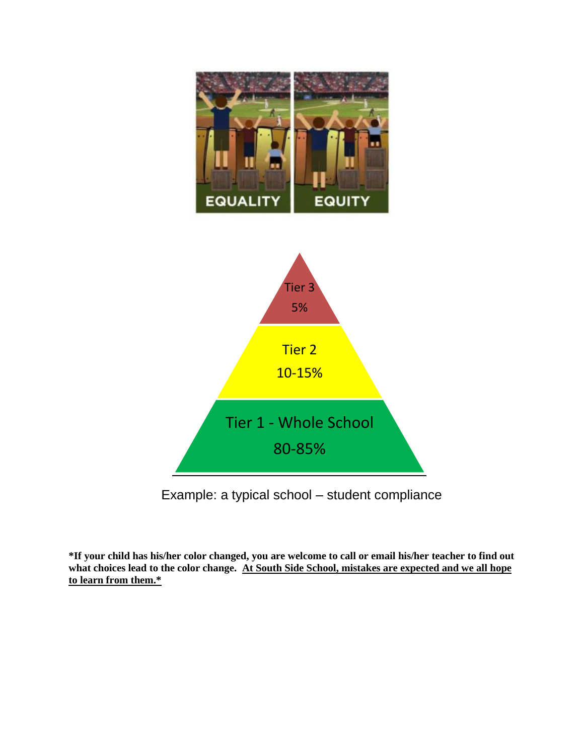

Example: a typical school – student compliance

**\*If your child has his/her color changed, you are welcome to call or email his/her teacher to find out what choices lead to the color change. At South Side School, mistakes are expected and we all hope to learn from them.\***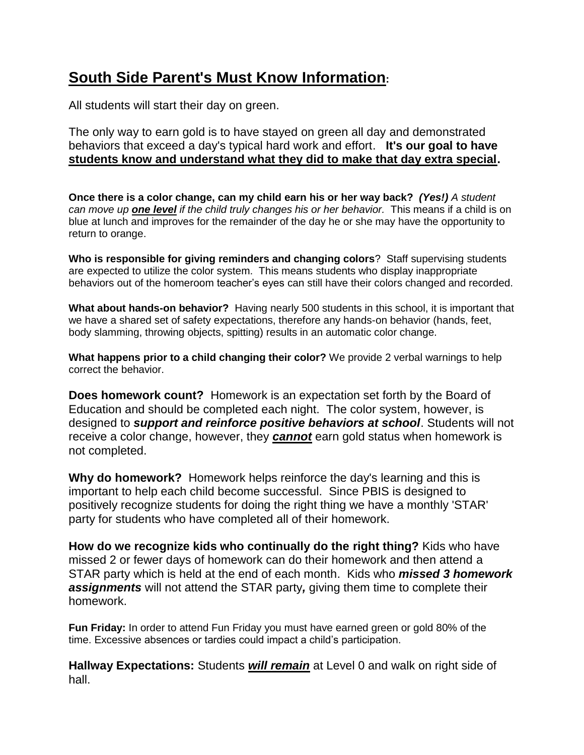#### **South Side Parent's Must Know Information:**

All students will start their day on green.

The only way to earn gold is to have stayed on green all day and demonstrated behaviors that exceed a day's typical hard work and effort. **It's our goal to have students know and understand what they did to make that day extra special.**

**Once there is a color change, can my child earn his or her way back?** *(Yes!) A student can move up one level if the child truly changes his or her behavior.* This means if a child is on blue at lunch and improves for the remainder of the day he or she may have the opportunity to return to orange.

**Who is responsible for giving reminders and changing colors**? Staff supervising students are expected to utilize the color system. This means students who display inappropriate behaviors out of the homeroom teacher's eyes can still have their colors changed and recorded.

**What about hands-on behavior?** Having nearly 500 students in this school, it is important that we have a shared set of safety expectations, therefore any hands-on behavior (hands, feet, body slamming, throwing objects, spitting) results in an automatic color change.

**What happens prior to a child changing their color?** We provide 2 verbal warnings to help correct the behavior.

**Does homework count?** Homework is an expectation set forth by the Board of Education and should be completed each night. The color system, however, is designed to *support and reinforce positive behaviors at school*. Students will not receive a color change, however, they *cannot* earn gold status when homework is not completed.

**Why do homework?** Homework helps reinforce the day's learning and this is important to help each child become successful. Since PBIS is designed to positively recognize students for doing the right thing we have a monthly 'STAR' party for students who have completed all of their homework.

**How do we recognize kids who continually do the right thing?** Kids who have missed 2 or fewer days of homework can do their homework and then attend a STAR party which is held at the end of each month. Kids who *missed 3 homework assignments* will not attend the STAR party*,* giving them time to complete their homework.

**Fun Friday:** In order to attend Fun Friday you must have earned green or gold 80% of the time. Excessive absences or tardies could impact a child's participation.

**Hallway Expectations:** Students *will remain* at Level 0 and walk on right side of hall.